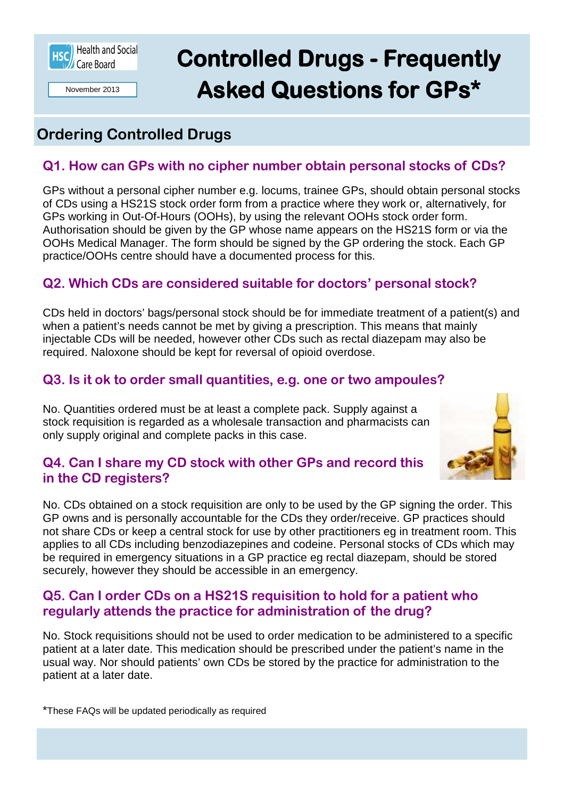

November 2013

# **Controlled Drugs - Frequently Asked Questions for GPs\* GPs\***

## **Ordering Controlled Drugs**

#### **Q1. How can GPs with no cipher number obtain personal stocks of CDs?**

GPs without a personal cipher number e.g. locums, trainee GPs, should obtain personal stocks of CDs using a HS21S stock order form from a practice where they work or, alternatively, for GPs working in Out-Of-Hours (OOHs), by using the relevant OOHs stock order form. Authorisation should be given by the GP whose name appears on the HS21S form or via the OOHs Medical Manager. The form should be signed by the GP ordering the stock. Each GP practice/OOHs centre should have a documented process for this.

#### **Q2. Which CDs are considered suitable for doctors' personal stock?**

CDs held in doctors' bags/personal stock should be for immediate treatment of a patient(s) and when a patient's needs cannot be met by giving a prescription. This means that mainly injectable CDs will be needed, however other CDs such as rectal diazepam may also be required. Naloxone should be kept for reversal of opioid overdose.

#### **Q3. Is it ok to order small quantities, e.g. one or two ampoules?**

No. Quantities ordered must be at least a complete pack. Supply against a stock requisition is regarded as a wholesale transaction and pharmacists can only supply original and complete packs in this case.



#### **Q4. Can I share my CD stock with other GPs and record this in the CD registers?**

No. CDs obtained on a stock requisition are only to be used by the GP signing the order. This GP owns and is personally accountable for the CDs they order/receive. GP practices should not share CDs or keep a central stock for use by other practitioners eg in treatment room. This applies to all CDs including benzodiazepines and codeine. Personal stocks of CDs which may be required in emergency situations in a GP practice eg rectal diazepam, should be stored securely, however they should be accessible in an emergency.

#### **Q5. Can I order CDs on a HS21S requisition to hold for a patient who regularly attends the practice for administration of the drug?**

No. Stock requisitions should not be used to order medication to be administered to a specific patient at a later date. This medication should be prescribed under the patient's name in the usual way. Nor should patients' own CDs be stored by the practice for administration to the patient at a later date.

\*These FAQs will be updated periodically as required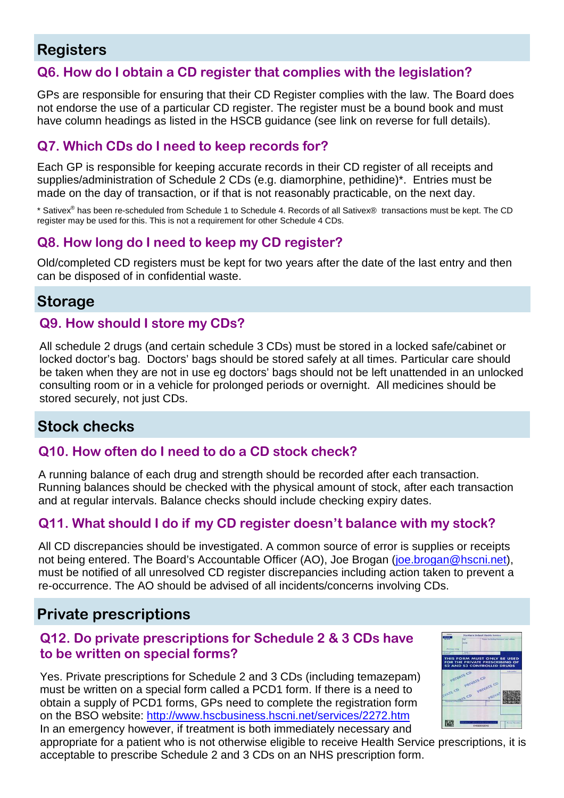## **Registers**

#### **Q6. How do I obtain a CD register that complies with the legislation?**

GPs are responsible for ensuring that their CD Register complies with the law. The Board does not endorse the use of a particular CD register. The register must be a bound book and must have column headings as listed in the HSCB guidance (see link on reverse for full details).

#### **Q7. Which CDs do I need to keep records for?**

Each GP is responsible for keeping accurate records in their CD register of all receipts and supplies/administration of Schedule 2 CDs (e.g. diamorphine, pethidine)\*. Entries must be made on the day of transaction, or if that is not reasonably practicable, on the next day.

\* Sativex® has been re-scheduled from Schedule 1 to Schedule 4. Records of all Sativex® transactions must be kept. The CD register may be used for this. This is not a requirement for other Schedule 4 CDs.

#### **Q8. How long do I need to keep my CD register?**

Old/completed CD registers must be kept for two years after the date of the last entry and then can be disposed of in confidential waste.

#### **Storage**

#### **Q9. How should I store my CDs?**

All schedule 2 drugs (and certain schedule 3 CDs) must be stored in a locked safe/cabinet or locked doctor's bag. Doctors' bags should be stored safely at all times. Particular care should be taken when they are not in use eg doctors' bags should not be left unattended in an unlocked consulting room or in a vehicle for prolonged periods or overnight. All medicines should be stored securely, not just CDs.

### **Stock checks**

#### **Q10. How often do I need to do a CD stock check?**

A running balance of each drug and strength should be recorded after each transaction. Running balances should be checked with the physical amount of stock, after each transaction and at regular intervals. Balance checks should include checking expiry dates.

#### **Q11. What should I do if my CD register doesn't balance with my stock?**

All CD discrepancies should be investigated. A common source of error is supplies or receipts not being entered. The Board's Accountable Officer (AO), Joe Brogan (joe.brogan@hscni.net), must be notified of all unresolved CD register discrepancies including action taken to prevent a re-occurrence. The AO should be advised of all incidents/concerns involving CDs.

## **Private prescriptions**

#### **Q12. Do private prescriptions for Schedule 2 & 3 CDs have to be written on special forms?**

Yes. Private prescriptions for Schedule 2 and 3 CDs (including temazepam) must be written on a special form called a PCD1 form. If there is a need to obtain a supply of PCD1 forms, GPs need to complete the registration form on the BSO website: http://www.hscbusiness.hscni.net/services/2272.htm In an emergency however, if treatment is both immediately necessary and



appropriate for a patient who is not otherwise eligible to receive Health Service prescriptions, it is acceptable to prescribe Schedule 2 and 3 CDs on an NHS prescription form.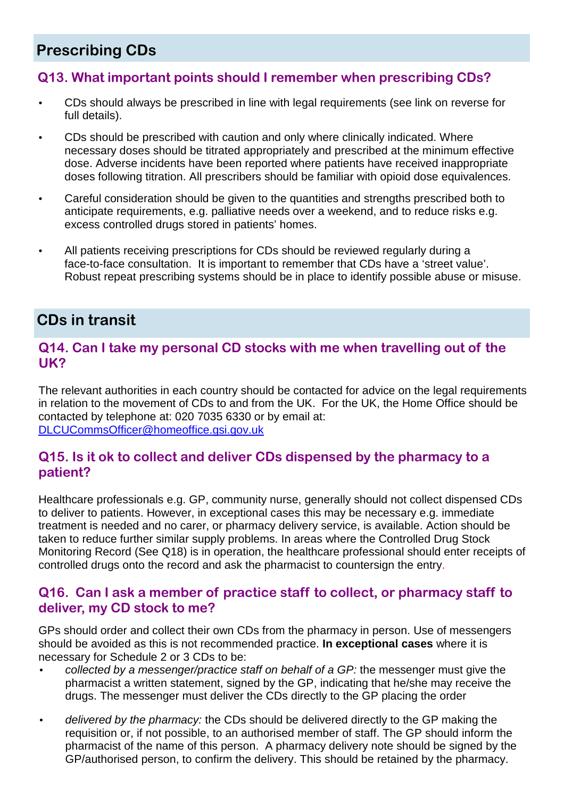## **Prescribing CDs**

#### **Q13. What important points should I remember when prescribing CDs?**

- CDs should always be prescribed in line with legal requirements (see link on reverse for full details).
- CDs should be prescribed with caution and only where clinically indicated. Where necessary doses should be titrated appropriately and prescribed at the minimum effective dose. Adverse incidents have been reported where patients have received inappropriate doses following titration. All prescribers should be familiar with opioid dose equivalences.
- Careful consideration should be given to the quantities and strengths prescribed both to anticipate requirements, e.g. palliative needs over a weekend, and to reduce risks e.g. excess controlled drugs stored in patients' homes.
- All patients receiving prescriptions for CDs should be reviewed regularly during a face-to-face consultation. It is important to remember that CDs have a 'street value'. Robust repeat prescribing systems should be in place to identify possible abuse or misuse.

## **CDs in transit**

#### **Q14. Can I take my personal CD stocks with me when travelling out of the UK?**

The relevant authorities in each country should be contacted for advice on the legal requirements in relation to the movement of CDs to and from the UK. For the UK, the Home Office should be contacted by telephone at: 020 7035 6330 or by email at: DLCUCommsOfficer@homeoffice.gsi.gov.uk

#### **Q15. Is it ok to collect and deliver CDs dispensed by the pharmacy to a patient?**

Healthcare professionals e.g. GP, community nurse, generally should not collect dispensed CDs to deliver to patients. However, in exceptional cases this may be necessary e.g. immediate treatment is needed and no carer, or pharmacy delivery service, is available. Action should be taken to reduce further similar supply problems. In areas where the Controlled Drug Stock Monitoring Record (See Q18) is in operation, the healthcare professional should enter receipts of controlled drugs onto the record and ask the pharmacist to countersign the entry.

#### **Q16. Can I ask a member of practice staff to collect, or pharmacy staff to deliver, my CD stock to me?**

GPs should order and collect their own CDs from the pharmacy in person. Use of messengers should be avoided as this is not recommended practice. **In exceptional cases** where it is necessary for Schedule 2 or 3 CDs to be:

- collected by a messenger/practice staff on behalf of a GP: the messenger must give the pharmacist a written statement, signed by the GP, indicating that he/she may receive the drugs. The messenger must deliver the CDs directly to the GP placing the order
- delivered by the pharmacy: the CDs should be delivered directly to the GP making the requisition or, if not possible, to an authorised member of staff. The GP should inform the pharmacist of the name of this person. A pharmacy delivery note should be signed by the GP/authorised person, to confirm the delivery. This should be retained by the pharmacy.